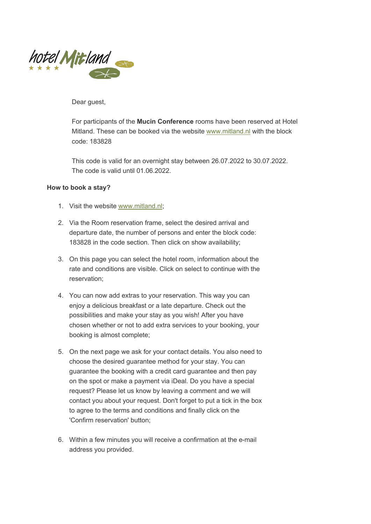

Dear guest,

For participants of the **Mucin Conference** rooms have been reserved at Hotel Mitland. These can be booked via the website www.mitland.nl with the block code: 183828

This code is valid for an overnight stay between 26.07.2022 to 30.07.2022. The code is valid until 01.06.2022.

## **How to book a stay?**

- 1. Visit the website www.mitland.nl;
- 2. Via the Room reservation frame, select the desired arrival and departure date, the number of persons and enter the block code: 183828 in the code section. Then click on show availability;
- 3. On this page you can select the hotel room, information about the rate and conditions are visible. Click on select to continue with the reservation;
- 4. You can now add extras to your reservation. This way you can enjoy a delicious breakfast or a late departure. Check out the possibilities and make your stay as you wish! After you have chosen whether or not to add extra services to your booking, your booking is almost complete;
- 5. On the next page we ask for your contact details. You also need to choose the desired guarantee method for your stay. You can guarantee the booking with a credit card guarantee and then pay on the spot or make a payment via iDeal. Do you have a special request? Please let us know by leaving a comment and we will contact you about your request. Don't forget to put a tick in the box to agree to the terms and conditions and finally click on the 'Confirm reservation' button;
- 6. Within a few minutes you will receive a confirmation at the e-mail address you provided.